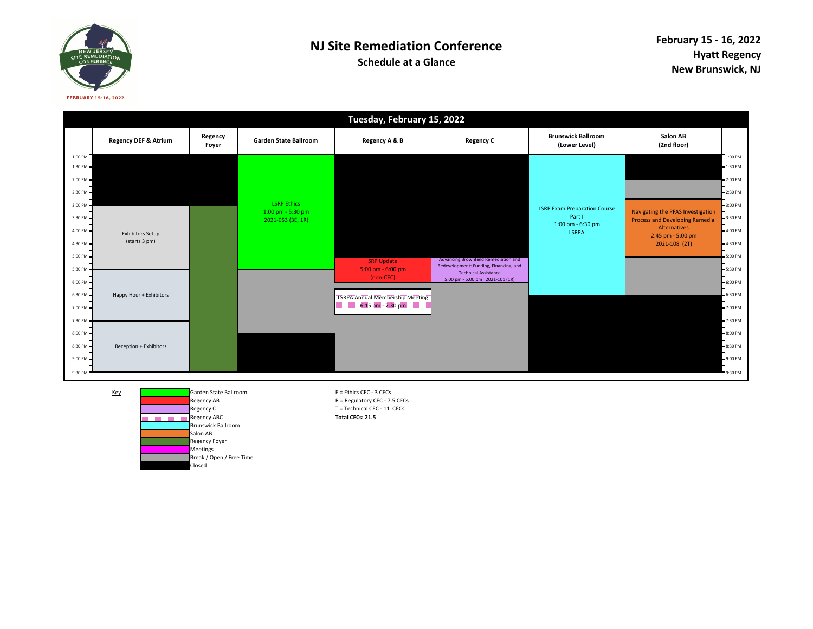

## **NJ Site Remediation Conference**

**Schedule at a Glance**

|                      |                                          |                  |                                        | Tuesday, February 15, 2022                                            |                                                                                                                                                  |                                                                    |                                                                                             |                                       |
|----------------------|------------------------------------------|------------------|----------------------------------------|-----------------------------------------------------------------------|--------------------------------------------------------------------------------------------------------------------------------------------------|--------------------------------------------------------------------|---------------------------------------------------------------------------------------------|---------------------------------------|
|                      | <b>Regency DEF &amp; Atrium</b>          | Regency<br>Foyer | <b>Garden State Ballroom</b>           | Regency A & B                                                         | <b>Regency C</b>                                                                                                                                 | <b>Brunswick Ballroom</b><br>(Lower Level)                         | Salon AB<br>(2nd floor)                                                                     |                                       |
| 1:00 PM<br>1:30 PM   |                                          |                  |                                        |                                                                       |                                                                                                                                                  |                                                                    |                                                                                             | $1:00$ PM<br>$-1:30$ PM<br>$-2:00$ PM |
| 2:00 PM<br>2:30 PM   |                                          |                  | <b>LSRP Ethics</b>                     |                                                                       |                                                                                                                                                  |                                                                    |                                                                                             | $-2:30$ PM                            |
| 3:00 PM<br>3:30 PM - |                                          |                  | 1:00 pm - 5:30 pm<br>2021-053 (3E, 1R) |                                                                       |                                                                                                                                                  | <b>LSRP Exam Preparation Course</b><br>Part I<br>1:00 pm - 6:30 pm | Navigating the PFAS Investigation<br><b>Process and Developing Remedial</b><br>Alternatives | $-3:00$ PM<br>$-3:30$ PM              |
| 4:00 PM<br>4:30 PM   | <b>Exhibitors Setup</b><br>(starts 3 pm) |                  |                                        |                                                                       |                                                                                                                                                  | <b>LSRPA</b>                                                       | 2:45 pm - 5:00 pm<br>2021-108 (2T)                                                          | $-4:00 \text{ PM}$<br>$-4:30 P M$     |
| 5:00 PM<br>5:30 PM   |                                          |                  |                                        | <b>SRP Update</b><br>$5:00 \text{ pm} - 6:00 \text{ pm}$<br>(non-CEC) | Advancing Brownfield Remediation and<br>Redevelopment: Funding, Financing, and<br><b>Technical Assistance</b><br>5:00 pm - 6:00 pm 2021-101 (1R) |                                                                    |                                                                                             | $-5:00$ PM<br>$-5:30$ PM              |
| 6:00 PM<br>6:30 PM   | Happy Hour + Exhibitors                  |                  |                                        | <b>LSRPA Annual Membership Meeting</b><br>6:15 pm - 7:30 pm           |                                                                                                                                                  |                                                                    |                                                                                             | $-6:00$ PM<br>$-6:30$ PM              |
| 7:00 PM-<br>7:30 PM  |                                          |                  |                                        |                                                                       |                                                                                                                                                  |                                                                    |                                                                                             | $-7:00$ PM<br>-7:30 PM                |
| 8:00 PM<br>8:30 PM   | Reception + Exhibitors                   |                  |                                        |                                                                       |                                                                                                                                                  |                                                                    |                                                                                             | $-8:00$ PM<br>$-8:30$ PM              |
| 9:00 PM<br>9:30 PM   |                                          |                  |                                        |                                                                       |                                                                                                                                                  |                                                                    |                                                                                             | $-9:00$ PM<br>9:30 PM                 |

Key

Regency ABRegency CRegency ABCBrunswick BallroomSalon AB Regency Foyer **Meetings**  Break / Open / Free TimeClosed

 Garden State Ballroom E = Ethics CEC - 3 CECs R = Regulatory CEC - 7.5 CECs T = Technical CEC - 11 CECs **Total CECs: 21.5**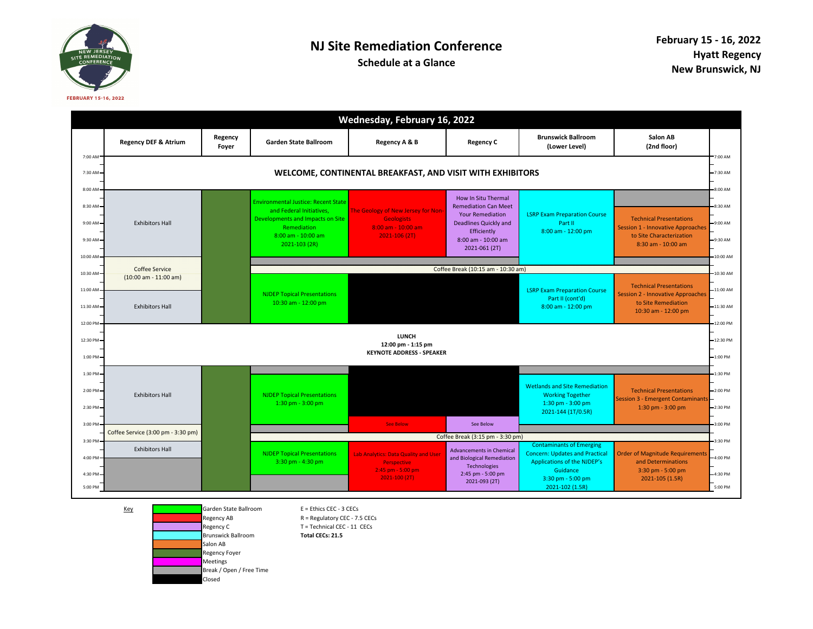

## **NJ Site Remediation Conference**

**Schedule at a Glance**

|                                          | Wednesday, February 16, 2022                                           |                  |                                                                                                                                                                  |                                                                                                   |                                                                                                                                                                            |                                                                                                            |                                                                                                                              |                                             |
|------------------------------------------|------------------------------------------------------------------------|------------------|------------------------------------------------------------------------------------------------------------------------------------------------------------------|---------------------------------------------------------------------------------------------------|----------------------------------------------------------------------------------------------------------------------------------------------------------------------------|------------------------------------------------------------------------------------------------------------|------------------------------------------------------------------------------------------------------------------------------|---------------------------------------------|
|                                          | <b>Regency DEF &amp; Atrium</b>                                        | Regency<br>Foyer | Garden State Ballroom                                                                                                                                            | Regency A & B                                                                                     | <b>Regency C</b>                                                                                                                                                           | <b>Brunswick Ballroom</b><br>(Lower Level)                                                                 | Salon AB<br>(2nd floor)                                                                                                      |                                             |
| 7:00 AM<br>7:30 AM                       | WELCOME, CONTINENTAL BREAKFAST, AND VISIT WITH EXHIBITORS              |                  |                                                                                                                                                                  |                                                                                                   |                                                                                                                                                                            |                                                                                                            |                                                                                                                              | 7:00 AM<br>7:30 AM                          |
| 8:00 AM<br>8:30 AM<br>9:00 AM<br>9:30 AM | <b>Exhibitors Hall</b>                                                 |                  | <b>Environmental Justice: Recent State</b><br>and Federal Initiatives.<br>Developments and Impacts on Site<br>Remediation<br>8:00 am - 10:00 am<br>2021-103 (2R) | The Geology of New Jersey for Non-<br><b>Geologists</b><br>8:00 am - 10:00 am<br>$2021 - 106(2T)$ | <b>How In Situ Thermal</b><br><b>Remediation Can Meet</b><br><b>Your Remediation</b><br><b>Deadlines Quickly and</b><br>Efficiently<br>8:00 am - 10:00 am<br>2021-061 (2T) | <b>LSRP Exam Preparation Course</b><br>Part II<br>8:00 am - 12:00 pm                                       | <b>Technical Presentations</b><br><b>Session 1 - Innovative Approaches</b><br>to Site Characterization<br>8:30 am - 10:00 am | 8:00 AM<br>$-8:30$ AM<br>9:00 AM<br>9:30 AM |
| 10:00 AM<br>10:30 AM-                    | Coffee Service<br>$(10:00 \text{ am} - 11:00 \text{ am})$              |                  |                                                                                                                                                                  |                                                                                                   | Coffee Break (10:15 am - 10:30 am)                                                                                                                                         |                                                                                                            |                                                                                                                              | $-10:00$ AM<br>10:30 AM                     |
| 11:00 AM<br>11:30 AM                     | <b>Exhibitors Hall</b>                                                 |                  | <b>NJDEP Topical Presentations</b><br>10:30 am - 12:00 pm                                                                                                        |                                                                                                   |                                                                                                                                                                            | <b>LSRP Exam Preparation Course</b><br>Part II (cont'd)<br>8:00 am - 12:00 pm                              | <b>Technical Presentations</b><br><b>Session 2 - Innovative Approaches</b><br>to Site Remediation<br>10:30 am - 12:00 pm     | 11:00 AM<br>11:30 AM                        |
| 12:00 PM<br>12:30 PM<br>1:00 PM          | <b>LUNCH</b><br>12:00 pm - 1:15 pm<br><b>KEYNOTE ADDRESS - SPEAKER</b> |                  |                                                                                                                                                                  |                                                                                                   |                                                                                                                                                                            |                                                                                                            |                                                                                                                              | 12:00 PM<br>12:30 PM<br>$-1:00$ PM          |
| 1:30 PM                                  |                                                                        |                  |                                                                                                                                                                  |                                                                                                   |                                                                                                                                                                            |                                                                                                            |                                                                                                                              | 1:30 PM                                     |
| $2:00$ PM $-$<br>2:30 PM-                | <b>Exhibitors Hall</b>                                                 |                  | <b>NJDEP Topical Presentations</b><br>1:30 pm - 3:00 pm                                                                                                          |                                                                                                   |                                                                                                                                                                            | <b>Wetlands and Site Remediation</b><br><b>Working Together</b><br>1:30 pm - 3:00 pm<br>2021-144 (1T/0.5R) | <b>Technical Presentations</b><br><b>Session 3 - Emergent Contaminants</b><br>1:30 pm - 3:00 pm                              | $-2:00$ PM<br>$-2:30$ PM                    |
| 3:00 PM                                  |                                                                        |                  |                                                                                                                                                                  | <b>See Below</b>                                                                                  | See Below                                                                                                                                                                  |                                                                                                            |                                                                                                                              | 3:00 PM                                     |
| 3:30 PM                                  | Coffee Service (3:00 pm - 3:30 pm)                                     |                  |                                                                                                                                                                  |                                                                                                   | Coffee Break (3:15 pm - 3:30 pm)                                                                                                                                           | <b>Contaminants of Emerging</b>                                                                            |                                                                                                                              | 3:30 PM                                     |
| 4:00 PM                                  | <b>Exhibitors Hall</b>                                                 |                  | <b>NJDEP Topical Presentations</b><br>3:30 pm - 4:30 pm                                                                                                          | Lab Analytics: Data Quality and User<br>Perspective<br>2:45 pm - 5:00 pm                          | <b>Advancements in Chemical</b><br>and Biological Remediation<br>Technologies                                                                                              | <b>Concern: Updates and Practical</b><br>Applications of the NJDEP's<br>Guidance                           | <b>Order of Magnitude Requirements</b><br>and Determinations<br>3:30 pm - 5:00 pm                                            | 4:00 PM                                     |
| 4:30 PM<br>5:00 PM                       |                                                                        |                  |                                                                                                                                                                  | $2021 - 100(2T)$                                                                                  | 2:45 pm - 5:00 pm<br>2021-093 (2T)                                                                                                                                         | 3:30 pm - 5:00 pm<br>2021-102 (1.5R)                                                                       | 2021-105 (1.5R)                                                                                                              | -4:30 PM<br>5:00 PM                         |

KeyGarden State Ballroom E = Ethics CEC - 3 CECs<br>Regency AB B = Regulatory CEC - 7.5 Regency AB R = Regulatory CEC - 7.5 CECs<br>
Regency C T = Technical CEC - 11 CECs Brunswick BallroomSalon AB Regency FoyerMeetings Break / Open / Free TimeClosed

 $T$  = Technical CEC - 11 CECs **Total CECs: 21.5**